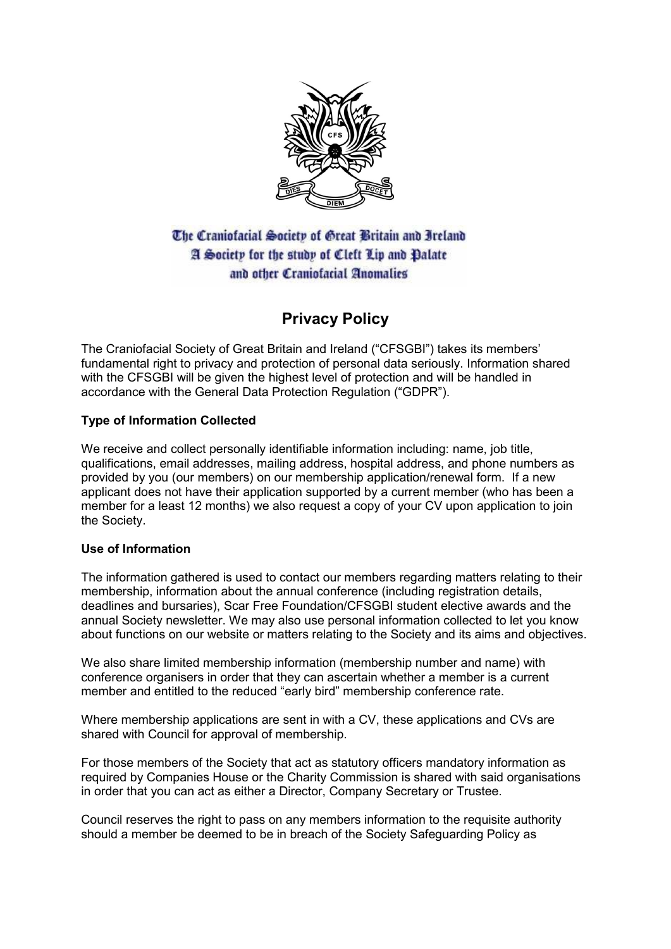

The Craniofacial Society of Great Britain and Ireland A Society for the study of Cleft Lip and Dalate and other Craniofacial Anomalies

# **Privacy Policy**

The Craniofacial Society of Great Britain and Ireland ("CFSGBI") takes its members' fundamental right to privacy and protection of personal data seriously. Information shared with the CFSGBI will be given the highest level of protection and will be handled in accordance with the General Data Protection Regulation ("GDPR").

# **Type of Information Collected**

We receive and collect personally identifiable information including: name, job title, qualifications, email addresses, mailing address, hospital address, and phone numbers as provided by you (our members) on our membership application/renewal form. If a new applicant does not have their application supported by a current member (who has been a member for a least 12 months) we also request a copy of your CV upon application to join the Society.

# **Use of Information**

The information gathered is used to contact our members regarding matters relating to their membership, information about the annual conference (including registration details, deadlines and bursaries), Scar Free Foundation/CFSGBI student elective awards and the annual Society newsletter. We may also use personal information collected to let you know about functions on our website or matters relating to the Society and its aims and objectives.

We also share limited membership information (membership number and name) with conference organisers in order that they can ascertain whether a member is a current member and entitled to the reduced "early bird" membership conference rate.

Where membership applications are sent in with a CV, these applications and CVs are shared with Council for approval of membership.

For those members of the Society that act as statutory officers mandatory information as required by Companies House or the Charity Commission is shared with said organisations in order that you can act as either a Director, Company Secretary or Trustee.

Council reserves the right to pass on any members information to the requisite authority should a member be deemed to be in breach of the Society Safeguarding Policy as